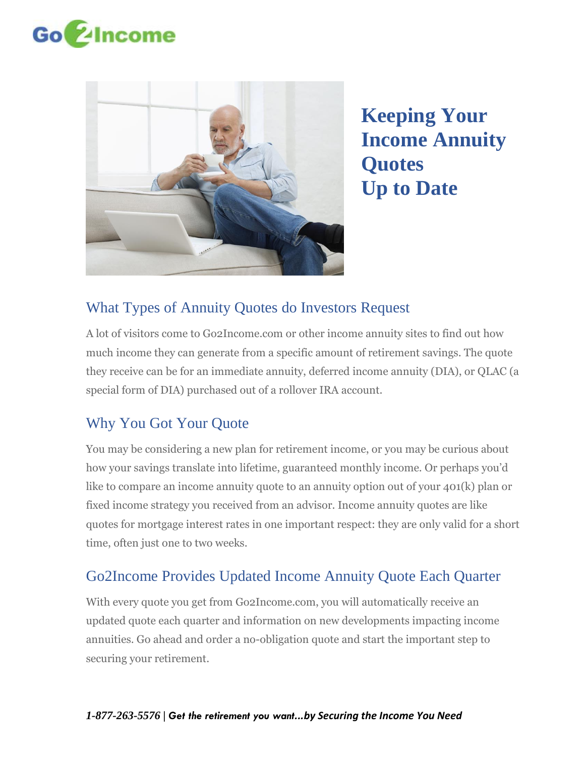



**Keeping Your Income Annuity Quotes Up to Date**

# What Types of Annuity Quotes do Investors Request

A lot of visitors come to [Go2Income.com](http://www.go2income.com/) or other income annuity sites to find out how much income they can generate from a specific amount of retirement savings. The quote they receive can be for an immediate annuity, deferred income annuity (DIA), or QLAC (a special form of DIA) purchased out of a rollover IRA account.

# Why You Got Your Quote

You may be considering a new plan for retirement income, or you may be curious about how your savings translate into lifetime, guaranteed monthly income. Or perhaps you'd like to compare an income annuity quote to an annuity option out of your 401(k) plan or fixed income strategy you received from an advisor. Income annuity quotes are like quotes for mortgage interest rates in one important respect: they are only valid for a short time, often just one to two weeks.

# Go2Income Provides Updated Income Annuity Quote Each Quarter

With every quote you get from Go2Income.com, you will automatically receive an updated quote each quarter and information on new developments impacting income annuities. Go ahead and order a no-obligation quote and start the important step to securing your retirement.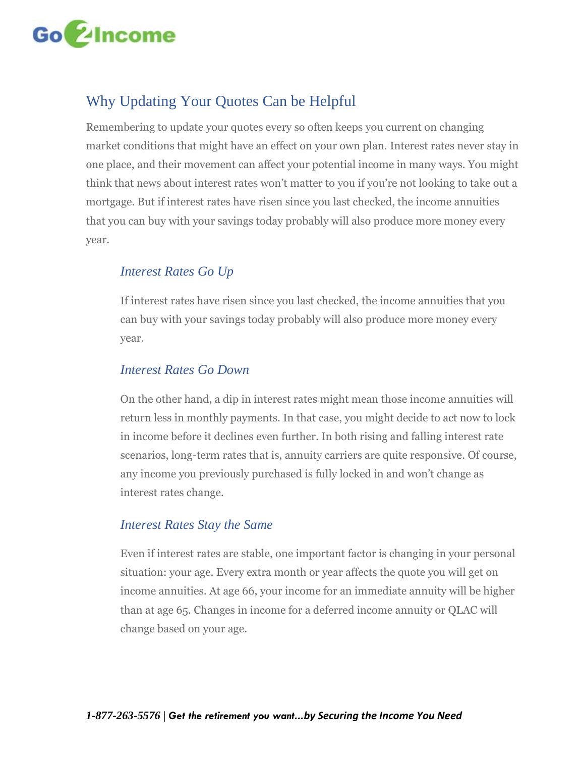

# Why Updating Your Quotes Can be Helpful

Remembering to update your quotes every so often keeps you current on changing market conditions that might have an effect on your own plan. Interest rates never stay in one place, and their movement can affect your potential income in many ways. You might think that news about interest rates won't matter to you if you're not looking to take out a mortgage. But if interest rates have risen since you last checked, the income annuities that you can buy with your savings today probably will also produce more money every year.

### *Interest Rates Go Up*

If interest rates have risen since you last checked, the income annuities that you can buy with your savings today probably will also produce more money every year.

### *Interest Rates Go Down*

On the other hand, a dip in interest rates might mean those income annuities will return less in monthly payments. In that case, you might decide to act now to lock in income before it declines even further. In both rising and falling interest rate scenarios, long-term rates that is, annuity carriers are quite responsive. Of course, any income you previously purchased is fully locked in and won't change as interest rates change.

#### *Interest Rates Stay the Same*

Even if interest rates are stable, one important factor is changing in your personal situation: your age. Every extra month or year affects the quote you will get on income annuities. At age 66, your income for an immediate annuity will be higher than at age 65. Changes in income for a deferred income annuity or QLAC will change based on your age.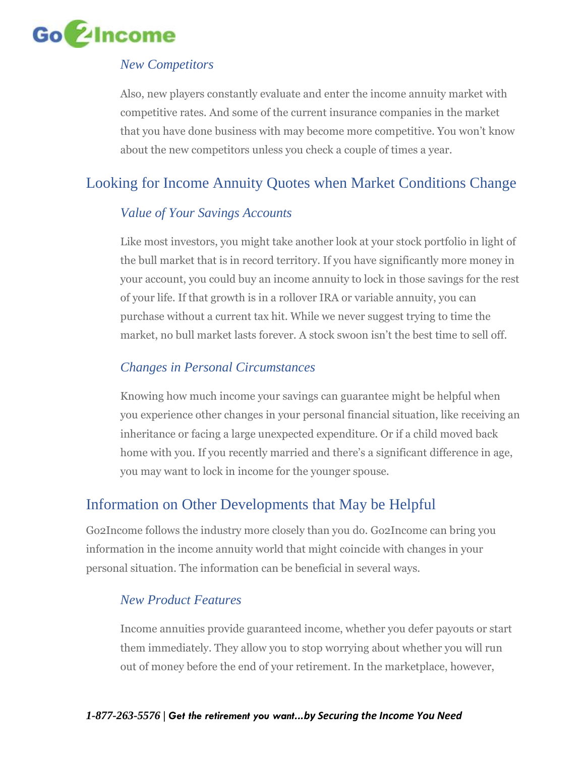

### *New Competitors*

Also, new players constantly evaluate and enter the income annuity market with competitive rates. And some of the current insurance companies in the market that you have done business with may become more competitive. You won't know about the new competitors unless you check a couple of times a year.

# Looking for Income Annuity Quotes when Market Conditions Change

### *Value of Your Savings Accounts*

Like most investors, you might take another look at your stock portfolio in light of the bull market that is in record territory. If you have significantly more money in your account, you could buy an income annuity to lock in those savings for the rest of your life. If that growth is in a rollover IRA or variable annuity, you can purchase without a current tax hit. While we never suggest trying to time the market, no bull market lasts forever. A stock swoon isn't the best time to sell off.

### *Changes in Personal Circumstances*

Knowing how much income your savings can guarantee might be helpful when you experience other changes in your personal financial situation, like receiving an inheritance or facing a large unexpected expenditure. Or if a child moved back home with you. If you recently married and there's a significant difference in age, you may want to lock in income for the younger spouse.

## Information on Other Developments that May be Helpful

Go2Income follows the industry more closely than you do. Go2Income can bring you information in the income annuity world that might coincide with changes in your personal situation. The information can be beneficial in several ways.

### *New Product Features*

Income annuities provide guaranteed income, whether you defer payouts or start them immediately. They allow you to stop worrying about whether you will run out of money before the end of your retirement. In the marketplace, however,